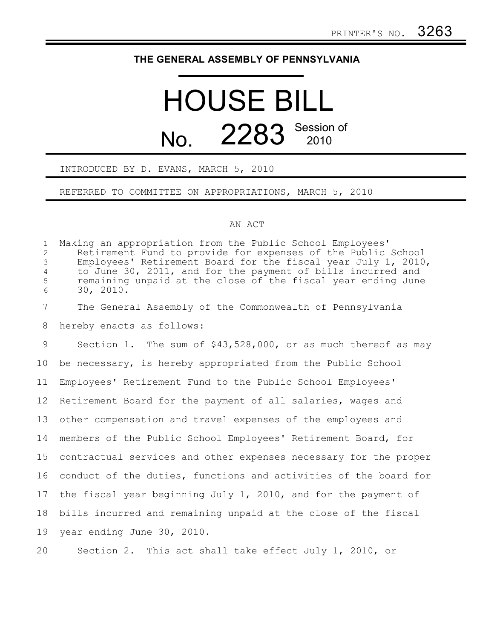## **THE GENERAL ASSEMBLY OF PENNSYLVANIA**

# HOUSE BILL No. 2283 Session of

### INTRODUCED BY D. EVANS, MARCH 5, 2010

#### REFERRED TO COMMITTEE ON APPROPRIATIONS, MARCH 5, 2010

#### AN ACT

Making an appropriation from the Public School Employees' Retirement Fund to provide for expenses of the Public School Employees' Retirement Board for the fiscal year July 1, 2010, to June 30, 2011, and for the payment of bills incurred and remaining unpaid at the close of the fiscal year ending June 30, 2010. The General Assembly of the Commonwealth of Pennsylvania hereby enacts as follows: Section 1. The sum of \$43,528,000, or as much thereof as may be necessary, is hereby appropriated from the Public School Employees' Retirement Fund to the Public School Employees' Retirement Board for the payment of all salaries, wages and other compensation and travel expenses of the employees and members of the Public School Employees' Retirement Board, for contractual services and other expenses necessary for the proper conduct of the duties, functions and activities of the board for the fiscal year beginning July 1, 2010, and for the payment of bills incurred and remaining unpaid at the close of the fiscal year ending June 30, 2010. Section 2. This act shall take effect July 1, 2010, or 1 2 3 4 5 6 7 8 9 10 11 12 13 14 15 16 17 18 19 20